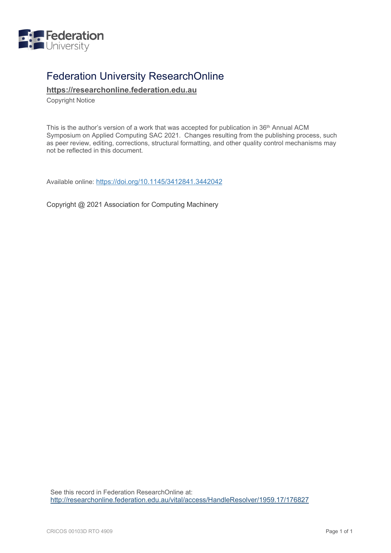

# Federation University ResearchOnline

**[https://researchonline.federation.edu.au](https://researchonline.federation.edu.au/)**

Copyright Notice

This is the author's version of a work that was accepted for publication in 36th Annual ACM Symposium on Applied Computing SAC 2021. Changes resulting from the publishing process, such as peer review, editing, corrections, structural formatting, and other quality control mechanisms may not be reflected in this document*.*

Available online:<https://doi.org/10.1145/3412841.3442042>

Copyright @ 2021 Association for Computing Machinery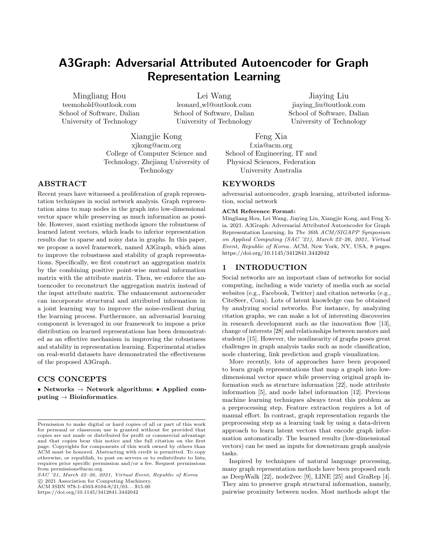# A3Graph: Adversarial Attributed Autoencoder for Graph Representation Learning

Mingliang Hou teemohold@outlook.com School of Software, Dalian University of Technology

Lei Wang leonard wl@outlook.com School of Software, Dalian University of Technology

Jiaying Liu jiaying liu@outlook.com School of Software, Dalian University of Technology

Xiangjie Kong xjkong@acm.org College of Computer Science and Technology, Zhejiang University of Technology

Feng Xia f.xia@acm.org School of Engineering, IT and Physical Sciences, Federation University Australia

# ABSTRACT

Recent years have witnessed a proliferation of graph representation techniques in social network analysis. Graph representation aims to map nodes in the graph into low-dimensional vector space while preserving as much information as possible. However, most existing methods ignore the robustness of learned latent vectors, which leads to inferior representation results due to sparse and noisy data in graphs. In this paper, we propose a novel framework, named A3Graph, which aims to improve the robustness and stability of graph representations. Specifically, we first construct an aggregation matrix by the combining positive point-wise mutual information matrix with the attribute matrix. Then, we enforce the autoencoder to reconstruct the aggregation matrix instead of the input attribute matrix. The enhancement autoencoder can incorporate structural and attributed information in a joint learning way to improve the noise-resilient during the learning process. Furthermore, an adversarial learning component is leveraged in our framework to impose a prior distribution on learned representations has been demonstrated as an effective mechanism in improving the robustness and stability in representation learning. Experimental studies on real-world datasets have demonstrated the effectiveness of the proposed A3Graph.

# CCS CONCEPTS

∙ Networks → Network algorithms; ∙ Applied computing  $\rightarrow$  Bioinformatics.

SAC '21, March 22–26, 2021, Virtual Event, Republic of Korea ○c 2021 Association for Computing Machinery.

ACM ISBN 978-1-4503-8104-8/21/03... \$15.00

<https://doi.org/10.1145/3412841.3442042>

#### KEYWORDS

adversarial autoencoder, graph learning, attributed information, social network

#### ACM Reference Format:

Mingliang Hou, Lei Wang, Jiaying Liu, Xiangjie Kong, and Feng Xia. 2021. A3Graph: Adversarial Attributed Autoencoder for Graph Representation Learning. In The 36th ACM/SIGAPP Symposium on Applied Computing (SAC '21), March 22–26, 2021, Virtual Event, Republic of Korea. ACM, New York, NY, USA, [8](#page-8-0) pages. <https://doi.org/10.1145/3412841.3442042>

#### 1 INTRODUCTION

Social networks are an important class of networks for social computing, including a wide variety of media such as social websites (e.g., Facebook, Twitter) and citation networks (e.g., CiteSeer, Cora). Lots of latent knowledge can be obtained by analyzing social networks. For instance, by analyzing citation graphs, we can make a lot of interesting discoveries in research development such as the innovation flow [\[13\]](#page-8-1), change of interests [\[28\]](#page-8-2) and relationships between mentors and students [\[15\]](#page-8-3). However, the nonlinearity of graphs poses great challenges in graph analysis tasks such as node classification, node clustering, link prediction and graph visualization.

More recently, lots of approaches have been proposed to learn graph representations that map a graph into lowdimensional vector space while preserving original graph information such as structure information [\[22\]](#page-8-4), node attribute information [\[5\]](#page-8-5), and node label information [\[12\]](#page-8-6). Previous machine learning techniques always treat this problem as a preprocessing step. Feature extraction requires a lot of manual effort. In contrast, graph representation regards the preprocessing step as a learning task by using a data-driven approach to learn latent vectors that encode graph information automatically. The learned results (low-dimensional vectors) can be used as inputs for downstream graph analysis tasks.

Inspired by techniques of natural language processing, many graph representation methods have been proposed such as DeepWalk [\[22\]](#page-8-4), node2vec [\[9\]](#page-8-7), LINE [\[25\]](#page-8-8) and GraRep [\[4\]](#page-8-9). They aim to preserve graph structural information, namely, pairwise proximity between nodes. Most methods adopt the

Permission to make digital or hard copies of all or part of this work for personal or classroom use is granted without fee provided that copies are not made or distributed for profit or commercial advantage and that copies bear this notice and the full citation on the first page. Copyrights for components of this work owned by others than ACM must be honored. Abstracting with credit is permitted. To copy otherwise, or republish, to post on servers or to redistribute to lists, requires prior specific permission and/or a fee. Request permissions from permissions@acm.org.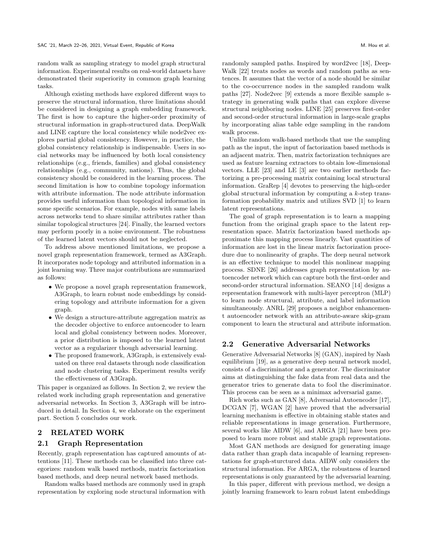random walk as sampling strategy to model graph structural information. Experimental results on real-world datasets have demonstrated their superiority in common graph learning tasks.

Although existing methods have explored different ways to preserve the structural information, three limitations should be considered in designing a graph embedding framework. The first is how to capture the higher-order proximity of structural information in graph-structured data. DeepWalk and LINE capture the local consistency while node2vec explores partial global consistency. However, in practice, the global consistency relationship is indispensable. Users in social networks may be influenced by both local consistency relationships (e.g., friends, families) and global consistency relationships (e.g., community, nations). Thus, the global consistency should be considered in the learning process. The second limitation is how to combine topology information with attribute information. The node attribute information provides useful information than topological information in some specific scenarios. For example, nodes with same labels across networks tend to share similar attributes rather than similar topological structures [\[24\]](#page-8-10). Finally, the learned vectors may perform poorly in a noise environment. The robustness of the learned latent vectors should not be neglected.

To address above mentioned limitations, we propose a novel graph representation framework, termed as A3Graph. It incorporates node topology and attributed information in a joint learning way. Three major contributions are summarized as follows:

- ∙ We propose a novel graph representation framework, A3Graph, to learn robust node embeddings by considering topology and attribute information for a given graph.
- ∙ We design a structure-attribute aggregation matrix as the decoder objective to enforce autoencoder to learn local and global consistency between nodes. Moreover, a prior distribution is imposed to the learned latent vector as a regularizer though adversarial learning.
- ∙ The proposed framework, A3Graph, is extensively evaluated on three real datasets through node classification and node clustering tasks. Experiment results verify the effectiveness of A3Graph.

This paper is organized as follows. In Section 2, we review the related work including graph representation and generative adversarial networks. In Section 3, A3Graph will be introduced in detail. In Section 4, we elaborate on the experiment part. Section 5 concludes our work.

# 2 RELATED WORK

#### 2.1 Graph Representation

Recently, graph representation has captured amounts of attentions [\[11\]](#page-8-11). These methods can be classified into three categorizes: random walk based methods, matrix factorization based methods, and deep neural network based methods.

Random walks based methods are commonly used in graph representation by exploring node structural information with randomly sampled paths. Inspired by word2vec [\[18\]](#page-8-12), Deep-Walk [\[22\]](#page-8-4) treats nodes as words and random paths as sentences. It assumes that the vector of a node should be similar to the co-occurrence nodes in the sampled random walk paths [\[27\]](#page-8-13). Node2vec [\[9\]](#page-8-7) extends a more flexible sample strategy in generating walk paths that can explore diverse structural neighboring nodes. LINE [\[25\]](#page-8-8) preserves first-order and second-order structural information in large-scale graphs by incorporating alias table edge sampling in the random walk process.

Unlike random walk-based methods that use the sampling path as the input, the input of factorization based methods is an adjacent matrix. Then, matrix factorization techniques are used as feature learning extractors to obtain low-dimensional vectors. LLE [\[23\]](#page-8-14) and LE [\[3\]](#page-8-15) are two earlier methods factorizing a pre-processing matrix containing local structural information. GraRep [\[4\]](#page-8-9) devotes to preserving the high-order global structural information by computing a  $k$ -step transformation probability matrix and utilizes SVD [\[1\]](#page-8-16) to learn latent representations.

The goal of graph representation is to learn a mapping function from the original graph space to the latent representation space. Matrix factorization based methods approximate this mapping process linearly. Vast quantities of information are lost in the linear matrix factorization procedure due to nonlinearity of graphs. The deep neural network is an effective technique to model this nonlinear mapping process. SDNE [\[26\]](#page-8-17) addresses graph representation by autoencoder network which can capture both the first-order and second-order structural information. SEANO [\[14\]](#page-8-18) designs a representation framework with multi-layer perceptron (MLP) to learn node structural, attribute, and label information simultaneously. ANRL [\[29\]](#page-8-19) proposes a neighbor enhancement autoencoder network with an attribute-aware skip-gram component to learn the structural and attribute information.

#### 2.2 Generative Adversarial Networks

Generative Adversarial Networks [\[8\]](#page-8-20) (GAN), inspired by Nash equilibrium [\[19\]](#page-8-21), as a generative deep neural network model, consists of a discriminator and a generator. The discriminator aims at distinguishing the fake data from real data and the generator tries to generate data to fool the discriminator. This process can be seen as a minimax adversarial game.

Rich works such as GAN [\[8\]](#page-8-20), Adversarial Autoencoder [\[17\]](#page-8-22), DCGAN [\[7\]](#page-8-23), WGAN [\[2\]](#page-8-24) have proved that the adversarial learning mechanism is effective in obtaining stable states and reliable representations in image generation. Furthermore, several works like AIDW [\[6\]](#page-8-25), and ARGA [\[21\]](#page-8-26) have been proposed to learn more robust and stable graph representations.

Most GAN methods are designed for generating image data rather than graph data incapable of learning representations for graph-sturctured data. AIDW only considers the structural information. For ARGA, the robustness of learned representations is only guaranteed by the adversarial learning.

In this paper, different with previous method, we design a jointly learning framework to learn robust latent embeddings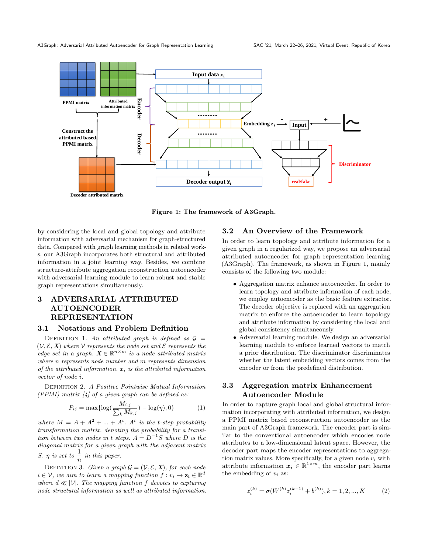<span id="page-3-0"></span>

Figure 1: The framework of A3Graph.

by considering the local and global topology and attribute information with adversarial mechanism for graph-structured data. Compared with graph learning methods in related works, our A3Graph incorporates both structural and attributed information in a joint learning way. Besides, we combine structure-attribute aggregation reconstruction autoencoder with adversarial learning module to learn robust and stable graph representations simultaneously.

# 3 ADVERSARIAL ATTRIBUTED AUTOENCODER REPRESENTATION

### 3.1 Notations and Problem Definition

DEFINITION 1. An attributed graph is defined as  $\mathcal{G}$  =  $(V, \mathcal{E}, \mathbf{X})$  where V represents the node set and  $\mathcal{E}$  represents the edge set in a graph.  $X \in \mathbb{R}^{n \times m}$  is a node attributed matrix where  $n$  represents node number and  $m$  represents dimension of the attributed information.  $x_i$  is the attributed information vector of node *i*.

Definition 2. A Positive Pointwise Mutual Information (PPMI) matrix  $\left[4\right]$  of a given graph can be defined as:

<span id="page-3-1"></span>
$$
P_{ij} = \max\{\log(\frac{M_{i,j}}{\sum_{k} M_{k,j}}) - \log(\eta), 0\}
$$
 (1)

where  $M = A + A^2 + ... + A^t$ . A<sup>t</sup> is the t-step probability transformation matrix, denoting the probability for a transition between two nodes in t steps.  $A = D^{-1}S$  where D is the diagonal matrix for a given graph with the adjacent matrix S.  $\eta$  is set to  $\frac{1}{n}$  in this paper.

DEFINITION 3. Given a graph  $\mathcal{G} = (\mathcal{V}, \mathcal{E}, \mathbf{X})$ , for each node  $i \in \mathcal{V}$ , we aim to learn a mapping function  $f : v_i \mapsto \mathbf{z_i} \in \mathbb{R}^d$ where  $d \ll |\mathcal{V}|$ . The mapping function f devotes to capturing node structural information as well as attributed information.

# 3.2 An Overview of the Framework

In order to learn topology and attribute information for a given graph in a regularized way, we propose an adversarial attributed autoencoder for graph representation learning (A3Graph). The framework, as shown in Figure [1,](#page-3-0) mainly consists of the following two module:

- ∙ Aggregation matrix enhance autoencoder. In order to learn topology and attribute information of each node, we employ autoencoder as the basic feature extractor. The decoder objective is replaced with an aggregation matrix to enforce the autoencoder to learn topology and attribute information by considering the local and global consistency simultaneously.
- ∙ Adversarial learning module. We design an adversarial learning module to enforce learned vectors to match a prior distribution. The discriminator discriminates whether the latent embedding vectors comes from the encoder or from the predefined distribution.

# 3.3 Aggregation matrix Enhancement Autoencoder Module

In order to capture graph local and global structural information incorporating with attributed information, we design a PPMI matrix based reconstruction autoencoder as the main part of A3Graph framework. The encoder part is similar to the conventional autoencoder which encodes node attributes to a low-dimensional latent space. However, the decoder part maps the encoder representations to aggregation matrix values. More specifically, for a given node  $v_i$  with attribute information  $x_i \in \mathbb{R}^{1 \times m}$ , the encoder part learns the embedding of  $v_i$  as:

<span id="page-3-2"></span>
$$
z_i^{(k)} = \sigma(W^{(k)} z_i^{(k-1)} + b^{(k)}), k = 1, 2, ..., K
$$
 (2)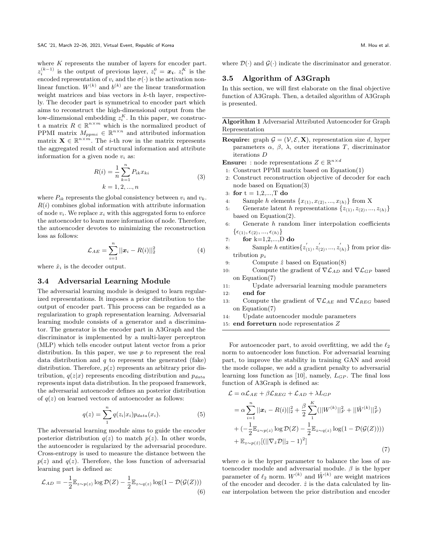where  $K$  represents the number of layers for encoder part.  $z_i^{(k-1)}$  is the output of previous layer,  $z_i^0 = x_i$ .  $z_i^K$  is the encoded representation of  $v_i$  and the  $\sigma(\cdot)$  is the activation nonlinear function.  $W^{(k)}$  and  $b^{(k)}$  are the linear transformation weight matrices and bias vectors in  $k$ -th layer, respectively. The decoder part is symmetrical to encoder part which aims to reconstruct the high-dimensional output from the low-dimensional embedding  $z_i^K$ . In this paper, we construct a matrix  $R \in \mathbb{R}^{n \times m}$  which is the normalized product of PPMI matrix  $M_{ppmi} \in \mathbb{R}^{n \times n}$  and attributed information matrix  $\mathbf{X} \in \mathbb{R}^{n \times m}$ . The *i*-th row in the matrix represents the aggregated result of structural information and attribute information for a given node  $v_i$  as:

$$
R(i) = \frac{1}{n} \sum_{k=1}^{n} P_{ik} x_{ki}
$$
  
\n
$$
k = 1, 2, ..., n
$$
 (3)

<span id="page-4-0"></span>where  $P_{ik}$  represents the global consistency between  $v_i$  and  $v_k$ .  $R(i)$  combines global information with attribute information of node  $v_i$ . We replace  $x_i$  with this aggregated form to enforce the autoencoder to learn more information of node. Therefore, the autoencoder devotes to minimizing the reconstruction loss as follows:

$$
\mathcal{L}_{AE} = \sum_{i=1}^{n} ||\mathbf{x}_i - R(i)||_2^2 \tag{4}
$$

where  $\hat{x}_i$  is the decoder output.

#### 3.4 Adversarial Learning Module

The adversarial learning module is designed to learn regularized representations. It imposes a prior distribution to the output of encoder part. This process can be regarded as a regularization to graph representation learning. Adversarial learning module consists of a generator and a discriminator. The generator is the encoder part in A3Graph and the discriminator is implemented by a multi-layer perceptron (MLP) which tells encoder output latent vector from a prior distribution. In this paper, we use  $p$  to represent the real data distribution and  $q$  to represent the generated (fake) distribution. Therefore,  $p(z)$  represents an arbitrary prior distribution,  $q(z|x)$  represents encoding distribution and  $p_{data}$ represents input data distribution. In the proposed framework, the adversarial autoencoder defines an posterior distribution of  $q(z)$  on learned vectors of autoencoder as follows:

$$
q(z) = \sum_{1}^{n} q(z_i|x_i) p_{data}(x_i).
$$
 (5)

The adversarial learning module aims to guide the encoder posterior distribution  $q(z)$  to match  $p(z)$ . In other words, the autoencoder is regularized by the adversarial procedure. Cross-entropy is used to measure the distance between the  $p(z)$  and  $q(z)$ . Therefore, the loss function of adversarial learning part is defined as:

$$
\mathcal{L}_{AD} = -\frac{1}{2} \mathbb{E}_{z \sim p(z)} \log \mathcal{D}(Z) - \frac{1}{2} \mathbb{E}_{z \sim q(z)} \log(1 - \mathcal{D}(\mathcal{G}(Z)))
$$
\n(6)

where  $\mathcal{D}(\cdot)$  and  $\mathcal{G}(\cdot)$  indicate the discriminator and generator.

#### 3.5 Algorithm of A3Graph

In this section, we will first elaborate on the final objective function of A3Graph. Then, a detailed algorithm of A3Graph is presented.

Algorithm 1 Adversarial Attributed Autoencoder for Graph Representation

**Require:** graph  $\mathcal{G} = (\mathcal{V}, \mathcal{E}, \mathbf{X})$ , representation size d, hyper parameters  $\alpha$ ,  $\beta$ ,  $\lambda$ , outer iterations T, discriminator iterations  $D$ 

**Ensure:** : node representations  $Z \in \mathbb{R}^{n \times d}$ 

- 1: Construct PPMI matrix based on Equation[\(1\)](#page-3-1)
- 2: Construct reconstruction objective of decoder for each node based on Equation[\(3\)](#page-4-0)
- 3: for  $t = 1, 2, ..., T$  do
- 4: Sample *h* elements  $\{x_{(1)}, x_{(2)}, ..., x_{(h)}\}$  from X
- 5: Generate latent h representations  $\{z_{(1)}, z_{(2)}, ..., z_{(h)}\}$ based on Equation[\(2\)](#page-3-2).
- $6:$  Generate  $h$  random liner interpolation coefficients  $\{\epsilon_{(1)}, \epsilon_{(2)}, ..., \epsilon_{(h)}\}$

7: for 
$$
k=1,2,...,D
$$
 do

- 8: Sample *h* entities  $\{z'_{(1)}, z'_{(2)}, ..., z'_{(h)}\}$  from prior distribution  $p_z$
- 9: Compute  $\hat{z}$  based on Equation[\(8\)](#page-5-0)
- 10: Compute the gradient of  $\nabla \mathcal{L}_{AD}$  and  $\nabla \mathcal{L}_{GP}$  based on Equation[\(7\)](#page-4-1)
- 11: Update adversarial learning module parameters

12: end for

- 13: Compute the gradient of  $\nabla \mathcal{L}_{AE}$  and  $\nabla \mathcal{L}_{REG}$  based on Equation[\(7\)](#page-4-1)
- 14: Update autoencoder module parameters
- 15: end forreturn node representatios  $Z$

For autoencoder part, to avoid overfitting, we add the  $\ell_2$ norm to autoencoder loss function. For adversarial learning part, to improve the stability in training GAN and avoid the mode collapse, we add a gradient penalty to adversarial learning loss function as [\[10\]](#page-8-27), namely,  $L_{GP}$ . The final loss function of A3Graph is defined as:

<span id="page-4-1"></span>
$$
\mathcal{L} = \alpha \mathcal{L}_{AE} + \beta \mathcal{L}_{REG} + \mathcal{L}_{AD} + \lambda L_{GP}
$$
\n
$$
= \alpha \sum_{i=1}^{n} ||x_i - R(i)||_2^2 + \frac{\beta}{2} \sum_{1}^{K} (||W^{(k)}||_F^2 + ||\hat{W}^{(k)}||_F^2)
$$
\n
$$
+ (-\frac{1}{2} \mathbb{E}_{z \sim p(z)} \log \mathcal{D}(Z) - \frac{1}{2} \mathbb{E}_{z \sim q(z)} \log(1 - \mathcal{D}(\mathcal{G}(Z))))
$$
\n
$$
+ \mathbb{E}_{z \sim p(\hat{z})} [(||\nabla_{\hat{z}} \mathcal{D}||_2 - 1)^2]
$$
\n(7)

where  $\alpha$  is the hyper parameter to balance the loss of autoencoder module and adversarial module.  $\beta$  is the hyper parameter of  $\ell_2$  norm.  $W^{(k)}$  and  $\hat{W}^{(k)}$  are weight matrices of the encoder and decoder.  $\hat{z}$  is the data calculated by linear interpolation between the prior distribution and encoder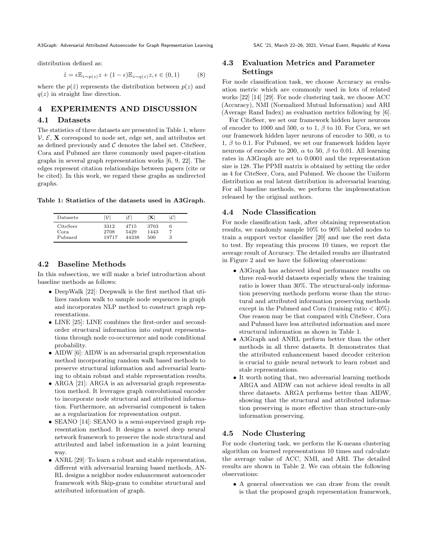A3Graph: Adversarial Attributed Autoencoder for Graph Representation Learning SAC '21, March 22–26, 2021, Virtual Event, Republic of Korea

distribution defined as:

<span id="page-5-0"></span>
$$
\hat{z} = \epsilon \mathbb{E}_{z \sim p(z)} z + (1 - \epsilon) \mathbb{E}_{z \sim q(z)} z, \epsilon \in (0, 1)
$$
 (8)

where the  $p(\hat{z})$  represents the distribution between  $p(z)$  and  $q(z)$  in straight line direction.

# 4 EXPERIMENTS AND DISCUSSION

#### 4.1 Datasets

The statistics of three datasets are presented in Table [1,](#page-5-1) where  $V, \mathcal{E}, \mathbf{X}$  correspond to node set, edge set, and attributes set as defined previously and  $\mathcal C$  denotes the label set. CiteSeer, Cora and Pubmed are three commonly used paper-citation graphs in several graph representation works [\[6,](#page-8-25) [9,](#page-8-7) [22\]](#page-8-4). The edges represent citation relationships between papers (cite or be cited). In this work, we regard these graphs as undirected graphs.

<span id="page-5-1"></span>Table 1: Statistics of the datasets used in A3Graph.

| Datasets                   | $\mathcal V$          | lεI                   | х                   | IC I |  |
|----------------------------|-----------------------|-----------------------|---------------------|------|--|
| CiteSeer<br>Cora<br>Pubmed | 3312<br>2708<br>19717 | 4715<br>5429<br>44338 | 3703<br>1443<br>500 | 6    |  |

# 4.2 Baseline Methods

In this subsection, we will make a brief introduction about baseline methods as follows:

- ∙ DeepWalk [\[22\]](#page-8-4): Deepwalk is the first method that utilizes random walk to sample node sequences in graph and incorporates NLP method to construct graph representations.
- ∙ LINE [\[25\]](#page-8-8): LINE combines the first-order and secondorder structural information into output representations through node co-occurrence and node conditional probability.
- ∙ AIDW [\[6\]](#page-8-25): AIDW is an adversarial graph representation method incorporating random walk based methods to preserve structural information and adversarial learning to obtain robust and stable representation results.
- ∙ ARGA [\[21\]](#page-8-26): ARGA is an adversarial graph representation method. It leverages graph convolutional encoder to incorporate node structural and attributed information. Furthermore, an adversarial component is taken as a regularization for representation output.
- ∙ SEANO [\[14\]](#page-8-18): SEANO is a semi-supervised graph representation method. It designs a novel deep neural network framework to preserve the node structural and attributed and label information in a joint learning way.
- ∙ ANRL [\[29\]](#page-8-19): To learn a robust and stable representation, different with adversarial learning based methods, AN-RL designs a neighbor nodes enhancement autoencoder framework with Skip-gram to combine structural and attributed information of graph.

# 4.3 Evaluation Metrics and Parameter Settings

For node classification task, we choose Accuracy as evaluation metric which are commonly used in lots of related works [\[22\]](#page-8-4) [\[14\]](#page-8-18) [\[29\]](#page-8-19). For node clustering task, we choose ACC (Accuracy), NMI (Normalized Mutual Information) and ARI (Average Rand Index) as evaluation metrics following by [\[6\]](#page-8-25).

For CiteSeer, we set our framework hidden layer neurons of encoder to 1000 and 500,  $\alpha$  to 1,  $\beta$  to 10. For Cora, we set our framework hidden layer neurons of encoder to 500,  $\alpha$  to 1,  $\beta$  to 0.1. For Pubmed, we set our framework hidden layer neurons of encoder to 200,  $\alpha$  to 50,  $\beta$  to 0.01. All learning rates in A3Graph are set to 0.0001 and the representation size is 128. The PPMI matrix is obtained by setting the order as 4 for CiteSeer, Cora, and Pubmed. We choose the Uniform distribution as real latent distribution in adversarial learning. For all baseline methods, we perform the implementation released by the original authors.

## 4.4 Node Classification

For node classification task, after obtaining representation results, we randomly sample 10% to 90% labeled nodes to train a support vector classifier [\[20\]](#page-8-28) and use the rest data to test. By repeating this process 10 times, we report the average result of Accuracy. The detailed results are illustrated in Figure [2](#page-6-0) and we have the following observations:

- ∙ A3Graph has achieved ideal performance results on three real-world datasets especially when the training ratio is lower than 30%. The structural-only information preserving methods perform worse than the structural and attributed information preserving methods except in the Pubmed and Cora (training ratio  $<$  40%). One reason may be that compared with CiteSeer, Cora and Pubmed have less attributed information and more structural information as shown in Table [1.](#page-5-1)
- ∙ A3Graph and ANRL perform better than the other methods in all three datasets. It demonstrates that the attributed enhancement based decoder criterion is crucial to guide neural network to learn robust and stale representations.
- ∙ It worth noting that, two adversarial learning methods ARGA and AIDW can not achieve ideal results in all three datasets. ARGA performs better than AIDW, showing that the structural and attributed information preserving is more effective than structure-only information preserving.

# 4.5 Node Clustering

For node clustering task, we perform the K-means clustering algorithm on learned representations 10 times and calculate the average value of ACC, NMI, and ARI. The detailed results are shown in Table [2.](#page-6-1) We can obtain the following observations:

∙ A general observation we can draw from the result is that the proposed graph representation framework,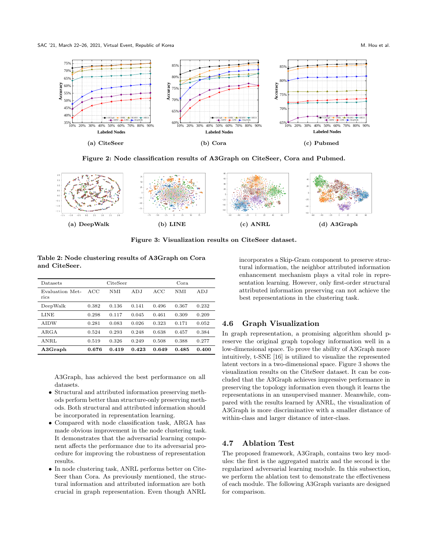<span id="page-6-0"></span>SAC '21, March 22–26, 2021, Virtual Event, Republic of Korea M. Hou et al. M. Hou et al.



Figure 2: Node classification results of A3Graph on CiteSeer, Cora and Pubmed.

<span id="page-6-2"></span>

Figure 3: Visualization results on CiteSeer dataset.

<span id="page-6-1"></span>Table 2: Node clustering results of A3Graph on Cora and CiteSeer.

| Datasets                | CiteSeer |       |       | Cora. |       |       |
|-------------------------|----------|-------|-------|-------|-------|-------|
| Evaluation Met-<br>rics | ACC      | NMI   | ADJ   | ACC   | NMI   | ADJ   |
| DeepWalk                | 0.382    | 0.136 | 0.141 | 0.496 | 0.367 | 0.232 |
| LINE                    | 0.298    | 0.117 | 0.045 | 0.461 | 0.309 | 0.209 |
| <b>AIDW</b>             | 0.281    | 0.083 | 0.026 | 0.323 | 0.171 | 0.052 |
| ARGA                    | 0.524    | 0.293 | 0.248 | 0.638 | 0.457 | 0.384 |
| ANRL                    | 0.519    | 0.326 | 0.249 | 0.508 | 0.388 | 0.277 |
| A3Graph                 | 0.676    | 0.419 | 0.423 | 0.649 | 0.485 | 0.400 |

A3Graph, has achieved the best performance on all datasets.

- ∙ Structural and attributed information preserving methods perform better than structure-only preserving methods. Both structural and attributed information should be incorporated in representation learning.
- ∙ Compared with node classification task, ARGA has made obvious improvement in the node clustering task. It demonstrates that the adversarial learning component affects the performance due to its adversarial procedure for improving the robustness of representation results.
- ∙ In node clustering task, ANRL performs better on Cite-Seer than Cora. As previously mentioned, the structural information and attributed information are both crucial in graph representation. Even though ANRL

incorporates a Skip-Gram component to preserve structural information, the neighbor attributed information enhancement mechanism plays a vital role in representation learning. However, only first-order structural attributed information preserving can not achieve the best representations in the clustering task.

# 4.6 Graph Visualization

In graph representation, a promising algorithm should preserve the original graph topology information well in a low-dimensional space. To prove the ability of A3Graph more intuitively, t-SNE [\[16\]](#page-8-29) is utilized to visualize the represented latent vectors in a two-dimensional space. Figure [3](#page-6-2) shows the visualization results on the CiteSeer dataset. It can be concluded that the A3Graph achieves impressive performance in preserving the topology information even though it learns the representations in an unsupervised manner. Meanwhile, compared with the results learned by ANRL, the visualization of A3Graph is more discriminative with a smaller distance of within-class and larger distance of inter-class.

# 4.7 Ablation Test

The proposed framework, A3Graph, contains two key modules: the first is the aggregated matrix and the second is the regularized adversarial learning module. In this subsection, we perform the ablation test to demonstrate the effectiveness of each module. The following A3Graph variants are designed for comparison.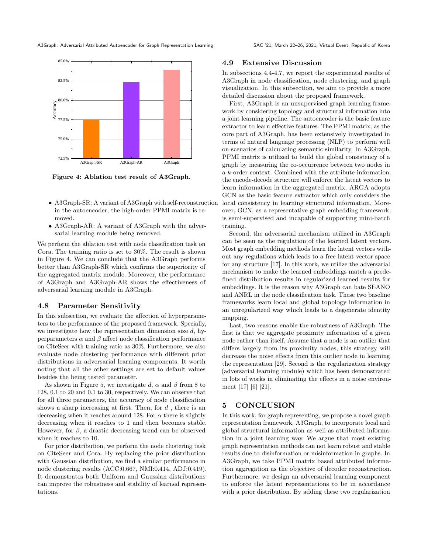A3Graph: Adversarial Attributed Autoencoder for Graph Representation Learning SAC '21, March 22–26, 2021, Virtual Event, Republic of Korea

<span id="page-7-0"></span>

Figure 4: Ablation test result of A3Graph.

- ∙ A3Graph-SR: A variant of A3Graph with self-reconstruction in the autoencoder, the high-order PPMI matrix is removed.
- ∙ A3Graph-AR: A variant of A3Graph with the adversarial learning module being removed.

We perform the ablation test with node classification task on Cora. The training ratio is set to 30%. The result is shown in Figure [4.](#page-7-0) We can conclude that the A3Graph performs better than A3Graph-SR which confirms the superiority of the aggregated matrix module. Moreover, the performance of A3Graph and A3Graph-AR shows the effectiveness of adversarial learning module in A3Graph.

#### 4.8 Parameter Sensitivity

In this subsection, we evaluate the affection of hyperparameters to the performance of the proposed framework. Specially, we investigate how the representation dimension size  $d$ , hyperparameters  $\alpha$  and  $\beta$  affect node classification performance on CiteSeer with training ratio as 30%. Furthermore, we also evaluate node clustering performance with different prior distributions in adversarial learning components. It worth noting that all the other settings are set to default values besides the being tested parameter.

As shown in Figure [5,](#page-8-30) we investigate d,  $\alpha$  and  $\beta$  from 8 to 128, 0.1 to 20 and 0.1 to 30, respectively. We can observe that for all three parameters, the accuracy of node classification shows a sharp increasing at first. Then, for  $d$ , there is an decreasing when it reaches around 128. For  $\alpha$  there is slightly decreasing when it reaches to 1 and then becomes stable. However, for  $\beta$ , a drastic decreasing trend can be observed when it reaches to 10.

For prior distribution, we perform the node clustering task on CiteSeer and Cora. By replacing the prior distribution with Gaussian distribution, we find a similar performance in node clustering results (ACC:0.667, NMI:0.414, ADJ:0.419). It demonstrates both Uniform and Gaussian distributions can improve the robustness and stability of learned representations.

#### 4.9 Extensive Discussion

In subsections 4.4-4.7, we report the experimental results of A3Graph in node classification, node clustering, and graph visualization. In this subsection, we aim to provide a more detailed discussion about the proposed framework.

First, A3Graph is an unsupervised graph learning framework by considering topology and structural information into a joint learning pipeline. The autoencoder is the basic feature extractor to learn effective features. The PPMI matrix, as the core part of A3Graph, has been extensively investigated in terms of natural language processing (NLP) to perform well on scenarios of calculating semantic similarity. In A3Graph, PPMI matrix is utilized to build the global consistency of a graph by measuring the co-occurrence between two nodes in a  $k$ -order context. Combined with the attribute information, the encode-decode structure will enforce the latent vectors to learn information in the aggregated matrix. ARGA adopts GCN as the basic feature extractor which only considers the local consistency in learning structural information. Moreover, GCN, as a representative graph embedding framework, is semi-supervised and incapable of supporting mini-batch training.

Second, the adversarial mechanism utilized in A3Graph can be seen as the regulation of the learned latent vectors. Most graph embedding methods learn the latent vectors without any regulations which leads to a free latent vector space for any structure [\[17\]](#page-8-22). In this work, we utilize the adversarial mechanism to make the learned embeddings match a predefined distribution results in regularized learned results for embeddings. It is the reason why A3Graph can bate SEANO and ANRL in the node classification task. These two baseline frameworks learn local and global topology information in an unregularized way which leads to a degenerate identity mapping.

Last, two reasons enable the robustness of A3Graph. The first is that we aggregate proximity information of a given node rather than itself. Assume that a node is an outlier that differs largely from its proximity nodes, this strategy will decrease the noise effects from this outlier node in learning the representation [\[29\]](#page-8-19). Second is the regularization strategy (adversarial learning module) which has been demonstrated in lots of works in eliminating the effects in a noise environment [\[17\]](#page-8-22) [\[6\]](#page-8-25) [\[21\]](#page-8-26).

#### 5 CONCLUSION

In this work, for graph representing, we propose a novel graph representation framework, A3Graph, to incorporate local and global structural information as well as attributed information in a joint learning way. We argue that most existing graph representation methods can not learn robust and stable results due to disinformation or misinformation in graphs. In A3Graph, we take PPMI matrix based attributed information aggregation as the objective of decoder reconstruction. Furthermore, we design an adversarial learning component to enforce the latent representations to be in accordance with a prior distribution. By adding these two regularization